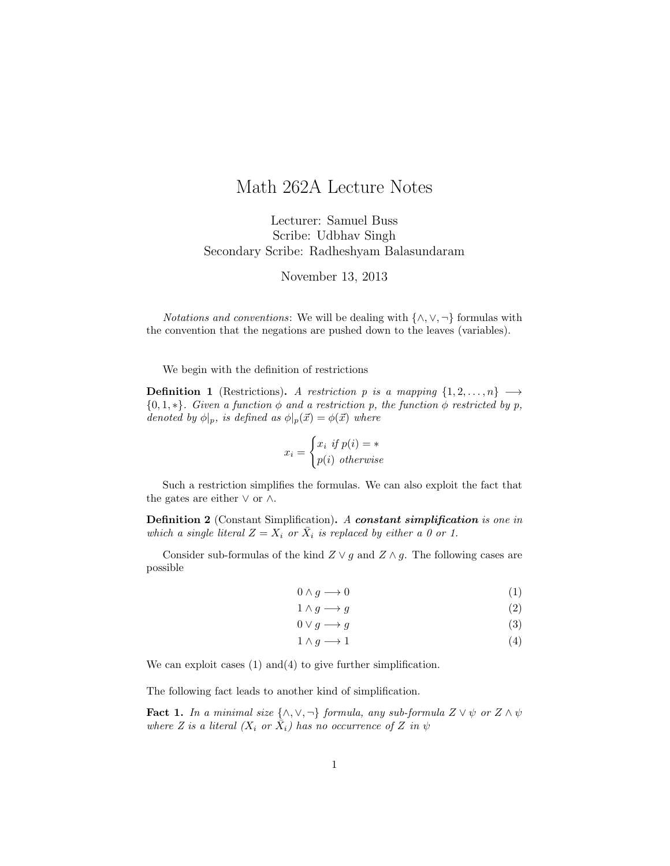## Math 262A Lecture Notes

Lecturer: Samuel Buss Scribe: Udbhav Singh Secondary Scribe: Radheshyam Balasundaram

November 13, 2013

*Notations and conventions:* We will be dealing with  $\{\wedge, \vee, \neg\}$  formulas with the convention that the negations are pushed down to the leaves (variables).

We begin with the definition of restrictions

**Definition 1** (Restrictions). A restriction p is a mapping  $\{1, 2, ..., n\}$   $\longrightarrow$  ${0, 1, *}.$  Given a function  $\phi$  and a restriction p, the function  $\phi$  restricted by p, denoted by  $\phi|_p$ , is defined as  $\phi|_p(\vec{x}) = \phi(\vec{x})$  where

$$
x_i = \begin{cases} x_i & \text{if } p(i) = * \\ p(i) & \text{otherwise} \end{cases}
$$

Such a restriction simplifies the formulas. We can also exploit the fact that the gates are either  $\vee$  or  $\wedge$ .

Definition 2 (Constant Simplification). A constant simplification is one in which a single literal  $Z = X_i$  or  $\bar{X}_i$  is replaced by either a 0 or 1.

Consider sub-formulas of the kind  $Z \vee g$  and  $Z \wedge g$ . The following cases are possible

$$
0 \wedge g \longrightarrow 0 \tag{1}
$$

$$
1 \wedge g \longrightarrow g \tag{2}
$$

$$
0 \lor g \longrightarrow g \tag{3}
$$

$$
1 \wedge g \longrightarrow 1 \tag{4}
$$

We can exploit cases (1) and (4) to give further simplification.

The following fact leads to another kind of simplification.

**Fact 1.** In a minimal size  $\{\wedge, \vee, \neg\}$  formula, any sub-formula  $Z \vee \psi$  or  $Z \wedge \psi$ where Z is a literal  $(X_i \text{ or } \overline{X}_i)$  has no occurrence of Z in  $\psi$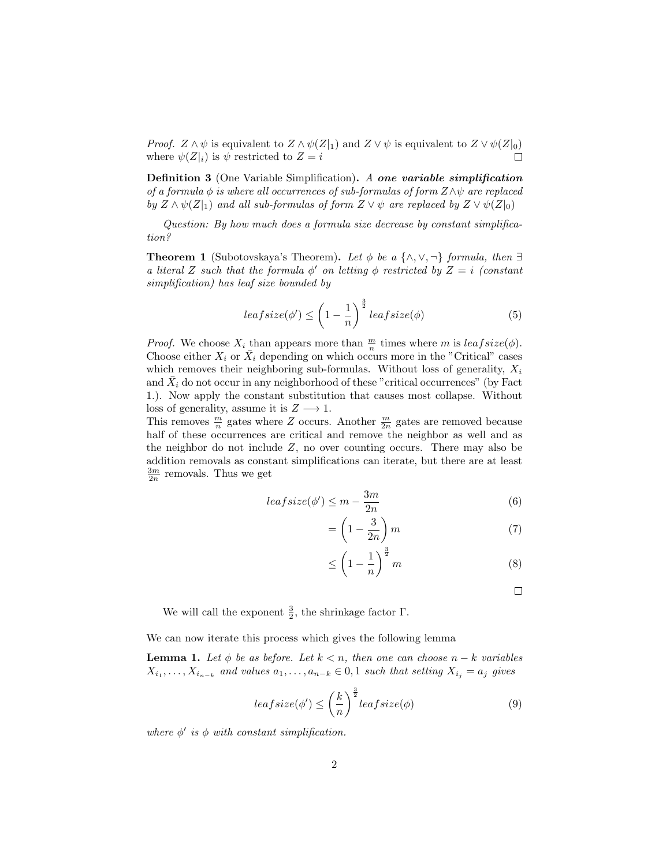*Proof.*  $Z \wedge \psi$  is equivalent to  $Z \wedge \psi(Z|_1)$  and  $Z \vee \psi$  is equivalent to  $Z \vee \psi(Z|_0)$ where  $\psi(Z|_i)$  is  $\psi$  restricted to  $Z = i$ 

Definition 3 (One Variable Simplification). A one variable simplification of a formula  $\phi$  is where all occurrences of sub-formulas of form  $Z \wedge \psi$  are replaced by  $Z \wedge \psi(Z|_1)$  and all sub-formulas of form  $Z \vee \psi$  are replaced by  $Z \vee \psi(Z|_0)$ 

Question: By how much does a formula size decrease by constant simplification?

**Theorem 1** (Subotovskaya's Theorem). Let  $\phi$  be a { $\land$ ,  $\lor$ ,  $\neg$ } formula, then  $\exists$ a literal Z such that the formula  $\phi'$  on letting  $\phi$  restricted by  $Z = i$  (constant simplification) has leaf size bounded by

$$
leafsize(\phi') \le \left(1 - \frac{1}{n}\right)^{\frac{3}{2}}\operatorname{leafsize}(\phi) \tag{5}
$$

*Proof.* We choose  $X_i$  than appears more than  $\frac{m}{n}$  times where m is  $leafsize(\phi)$ . Choose either  $X_i$  or  $\overline{X}_i$  depending on which occurs more in the "Critical" cases which removes their neighboring sub-formulas. Without loss of generality,  $X_i$ and  $\bar{X}_i$  do not occur in any neighborhood of these "critical occurrences" (by Fact 1.). Now apply the constant substitution that causes most collapse. Without loss of generality, assume it is  $Z \longrightarrow 1$ .

This removes  $\frac{m}{n}$  gates where Z occurs. Another  $\frac{m}{2n}$  gates are removed because half of these occurrences are critical and remove the neighbor as well and as the neighbor do not include  $Z$ , no over counting occurs. There may also be addition removals as constant simplifications can iterate, but there are at least  $\frac{3m}{2n}$  removals. Thus we get

$$
leafsize(\phi') \le m - \frac{3m}{2n} \tag{6}
$$

$$
= \left(1 - \frac{3}{2n}\right)m\tag{7}
$$

$$
\leq \left(1 - \frac{1}{n}\right)^{\frac{3}{2}} m \tag{8}
$$

 $\Box$ 

We will call the exponent  $\frac{3}{2}$ , the shrinkage factor  $\Gamma$ .

We can now iterate this process which gives the following lemma

**Lemma 1.** Let  $\phi$  be as before. Let  $k < n$ , then one can choose  $n - k$  variables  $X_{i_1}, \ldots, X_{i_{n-k}}$  and values  $a_1, \ldots, a_{n-k} \in [0, 1]$  such that setting  $X_{i_j} = a_j$  gives

$$
leafsize(\phi') \le \left(\frac{k}{n}\right)^{\frac{3}{2}}leafsize(\phi)
$$
\n(9)

where  $\phi'$  is  $\phi$  with constant simplification.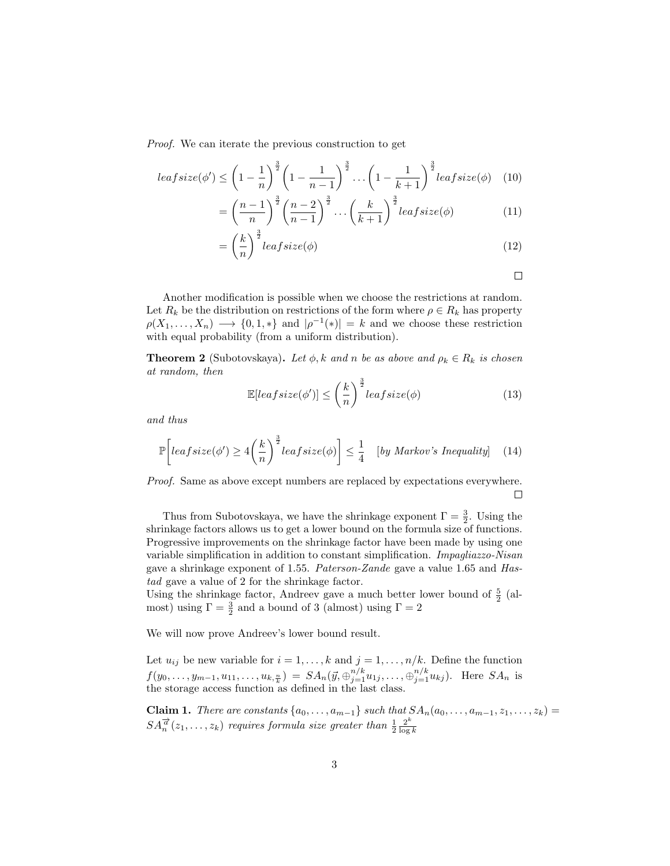Proof. We can iterate the previous construction to get

$$
leafsize(\phi') \le \left(1 - \frac{1}{n}\right)^{\frac{3}{2}} \left(1 - \frac{1}{n-1}\right)^{\frac{3}{2}} \dots \left(1 - \frac{1}{k+1}\right)^{\frac{3}{2}} leafsize(\phi) \quad (10)
$$

$$
= \left(\frac{n-1}{n}\right)^{\frac{3}{2}} \left(\frac{n-2}{n-1}\right)^{\frac{3}{2}} \cdots \left(\frac{k}{k+1}\right)^{\frac{3}{2}} leaf size(\phi) \tag{11}
$$

$$
= \left(\frac{k}{n}\right)^{\frac{3}{2}}\operatorname{leafsize}(\phi) \tag{12}
$$

 $\Box$ 

Another modification is possible when we choose the restrictions at random. Let  $R_k$  be the distribution on restrictions of the form where  $\rho \in R_k$  has property  $\rho(X_1, \ldots, X_n) \longrightarrow \{0, 1, *\}$  and  $|\rho^{-1}(*)| = k$  and we choose these restriction with equal probability (from a uniform distribution).

**Theorem 2** (Subotovskaya). Let  $\phi$ , k and n be as above and  $\rho_k \in R_k$  is chosen at random, then

$$
\mathbb{E}[leafsize(\phi')] \le \left(\frac{k}{n}\right)^{\frac{3}{2}}\operatorname{leafsize}(\phi) \tag{13}
$$

and thus

$$
\mathbb{P}\left[leafsize(\phi')\geq 4\left(\frac{k}{n}\right)^{\frac{3}{2}}leafsize(\phi)\right]\leq \frac{1}{4}\quad [by\ Markov's\ Inequality]\quad(14)
$$

Proof. Same as above except numbers are replaced by expectations everywhere.  $\Box$ 

Thus from Subotovskaya, we have the shrinkage exponent  $\Gamma = \frac{3}{2}$ . Using the shrinkage factors allows us to get a lower bound on the formula size of functions. Progressive improvements on the shrinkage factor have been made by using one variable simplification in addition to constant simplification. Impagliazzo-Nisan gave a shrinkage exponent of 1.55. Paterson-Zande gave a value 1.65 and Hastad gave a value of 2 for the shrinkage factor.

Using the shrinkage factor, Andreev gave a much better lower bound of  $\frac{5}{2}$  (almost) using  $\Gamma = \frac{3}{2}$  and a bound of 3 (almost) using  $\Gamma = 2$ 

We will now prove Andreev's lower bound result.

Let  $u_{ij}$  be new variable for  $i = 1, ..., k$  and  $j = 1, ..., n/k$ . Define the function  $f(y_0,..., y_{m-1}, u_{11},...,u_{k, \frac{n}{k}}) = SA_n(\vec{y}, \bigoplus_{j=1}^{n/k} u_{1j},..., \bigoplus_{j=1}^{n/k} u_{kj}).$  Here  $SA_n$  is the storage access function as defined in the last class.

**Claim 1.** There are constants  $\{a_0, \ldots, a_{m-1}\}$  such that  $SA_n(a_0, \ldots, a_{m-1}, z_1, \ldots, z_k)$  $SA_n^{\overrightarrow{a}}(z_1,\ldots,z_k)$  requires formula size greater than  $\frac{1}{2}\frac{2^k}{\log n}$  $\log k$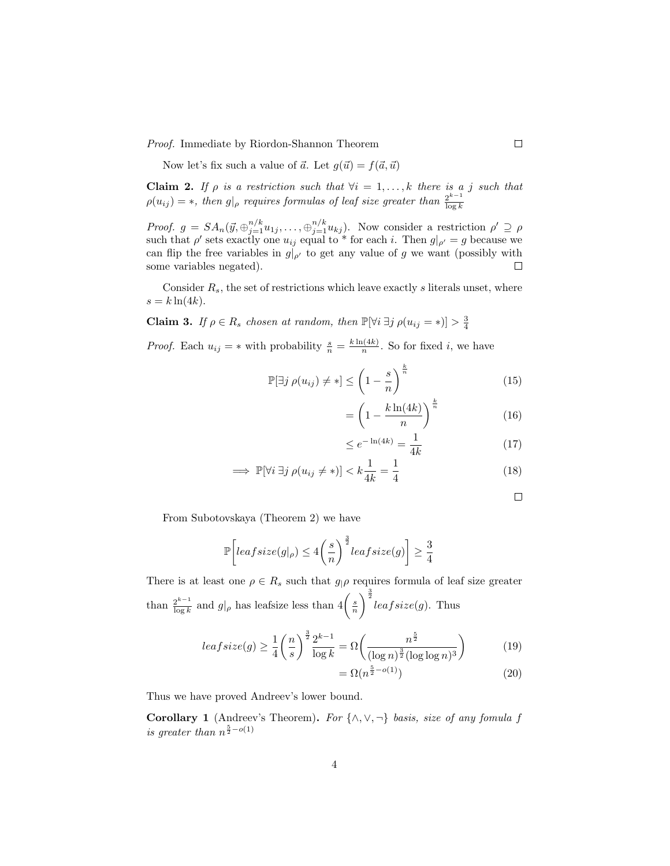Proof. Immediate by Riordon-Shannon Theorem

Now let's fix such a value of  $\vec{a}$ . Let  $g(\vec{u}) = f(\vec{a}, \vec{u})$ 

**Claim 2.** If  $\rho$  is a restriction such that  $\forall i = 1, \ldots, k$  there is a j such that  $\rho(u_{ij}) = *$ , then  $g|_{\rho}$  requires formulas of leaf size greater than  $\frac{2^{k-1}}{\log k}$  $\log k$ 

Proof.  $g = SA_n(\vec{y}, \bigoplus_{j=1}^{n/k} u_{1j}, \dots, \bigoplus_{j=1}^{n/k} u_{kj})$ . Now consider a restriction  $\rho' \supseteq \rho$ such that  $\rho'$  sets exactly one  $u_{ij}$  equal to \* for each i. Then  $g|_{\rho'} = g$  because we can flip the free variables in  $g|_{\rho'}$  to get any value of g we want (possibly with some variables negated).  $\Box$ 

Consider  $R_s$ , the set of restrictions which leave exactly s literals unset, where  $s = k \ln(4k)$ .

**Claim 3.** If  $\rho \in R_s$  chosen at random, then  $\mathbb{P}[\forall i \exists j \rho(u_{ij} = *)] > \frac{3}{4}$ 

*Proof.* Each  $u_{ij} = *$  with probability  $\frac{s}{n} = \frac{k \ln(4k)}{n}$  $\frac{n(4k)}{n}$ . So for fixed *i*, we have

$$
\mathbb{P}[\exists j \rho(u_{ij}) \neq *] \leq \left(1 - \frac{s}{n}\right)^{\frac{k}{n}} \tag{15}
$$

$$
= \left(1 - \frac{k\ln(4k)}{n}\right)^{\frac{k}{n}}\tag{16}
$$

$$
\leq e^{-\ln(4k)} = \frac{1}{4k} \tag{17}
$$

$$
\implies \mathbb{P}[\forall i \,\exists j \,\rho(u_{ij} \neq *)] < k\frac{1}{4k} = \frac{1}{4} \tag{18}
$$

 $\Box$ 

From Subotovskaya (Theorem 2) we have

$$
\mathbb{P}\bigg[leafsize(g|_{\rho}) \le 4\bigg(\frac{s}{n}\bigg)^{\frac{3}{2}}leafsize(g)\bigg] \ge \frac{3}{4}
$$

There is at least one  $\rho \in R_s$  such that  $g_{\vert} \rho$  requires formula of leaf size greater than  $\frac{2^{k-1}}{\log k}$  $\frac{2^{k-1}}{\log k}$  and  $g|_{\rho}$  has leafsize less than  $4\left(\frac{s}{n}\right)$  $\int_{a}^{\frac{3}{2}}$  leaf size(g). Thus

$$
leafsize(g) \ge \frac{1}{4} \left(\frac{n}{s}\right)^{\frac{3}{2}} \frac{2^{k-1}}{\log k} = \Omega \left(\frac{n^{\frac{5}{2}}}{(\log n)^{\frac{3}{2}} (\log \log n)^3}\right) \tag{19}
$$

$$
= \Omega(n^{\frac{5}{2} - o(1)}) \tag{20}
$$

Thus we have proved Andreev's lower bound.

Corollary 1 (Andreev's Theorem). For  $\{\wedge, \vee, \neg\}$  basis, size of any fomula f is greater than  $n^{\frac{5}{2}-o(1)}$